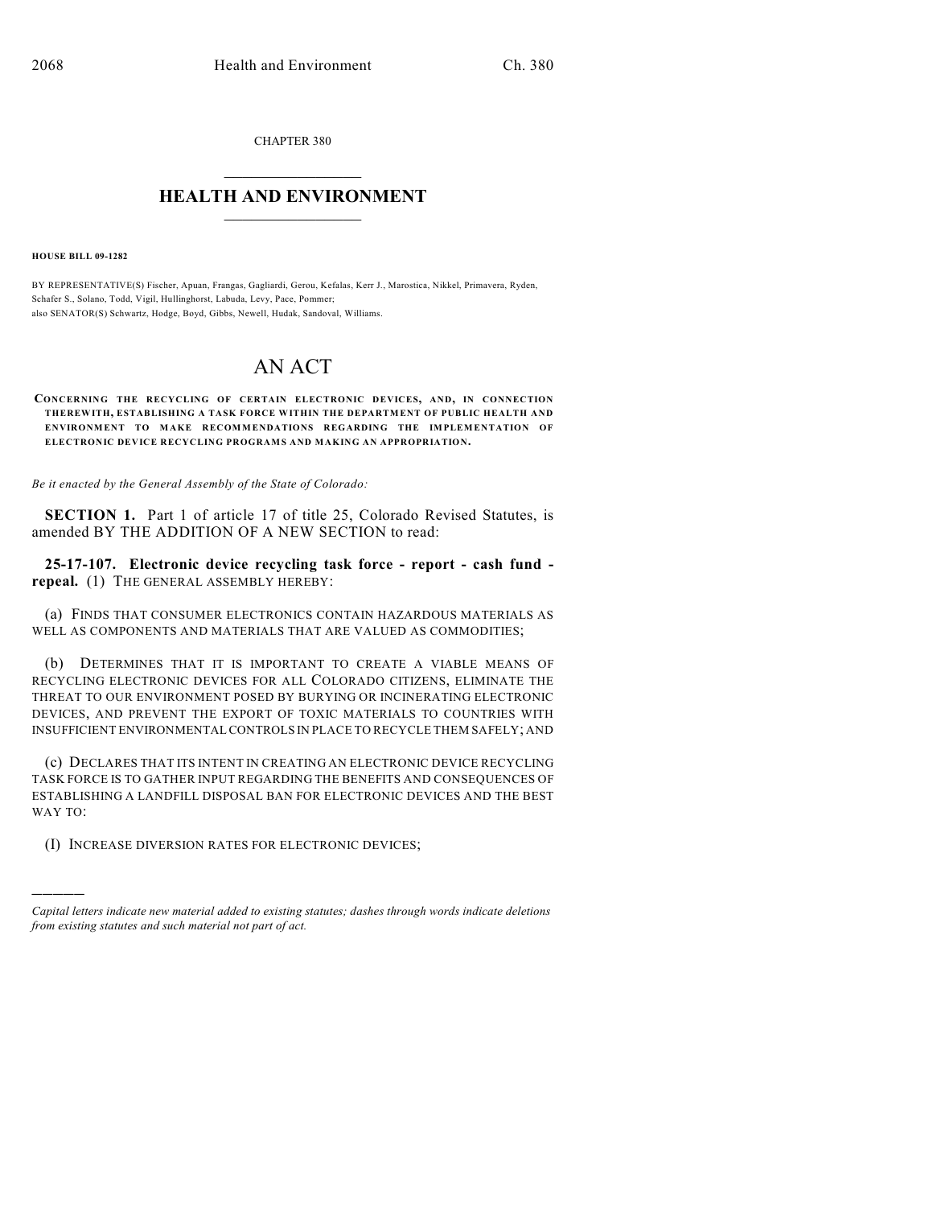CHAPTER 380  $\overline{\phantom{a}}$  . The set of the set of the set of the set of the set of the set of the set of the set of the set of the set of the set of the set of the set of the set of the set of the set of the set of the set of the set o

## **HEALTH AND ENVIRONMENT**  $\_$

**HOUSE BILL 09-1282**

)))))

BY REPRESENTATIVE(S) Fischer, Apuan, Frangas, Gagliardi, Gerou, Kefalas, Kerr J., Marostica, Nikkel, Primavera, Ryden, Schafer S., Solano, Todd, Vigil, Hullinghorst, Labuda, Levy, Pace, Pommer; also SENATOR(S) Schwartz, Hodge, Boyd, Gibbs, Newell, Hudak, Sandoval, Williams.

## AN ACT

**CONCERNING THE RECYCLING OF CERTAIN ELECTRONIC DEVICES, AND, IN CONNECTION THEREWITH, ESTABLISHING A TASK FORCE WITHIN THE DEPARTMENT OF PUBLIC HEALTH AND ENVIRONMENT TO MAKE RECOMMENDATIONS REGARDING THE IMPLEMENTATION OF ELECTRONIC DEVICE RECYCLING PROGRAMS AND MAKING AN APPROPRIATION.**

*Be it enacted by the General Assembly of the State of Colorado:*

**SECTION 1.** Part 1 of article 17 of title 25, Colorado Revised Statutes, is amended BY THE ADDITION OF A NEW SECTION to read:

**25-17-107. Electronic device recycling task force - report - cash fund repeal.** (1) THE GENERAL ASSEMBLY HEREBY:

(a) FINDS THAT CONSUMER ELECTRONICS CONTAIN HAZARDOUS MATERIALS AS WELL AS COMPONENTS AND MATERIALS THAT ARE VALUED AS COMMODITIES;

(b) DETERMINES THAT IT IS IMPORTANT TO CREATE A VIABLE MEANS OF RECYCLING ELECTRONIC DEVICES FOR ALL COLORADO CITIZENS, ELIMINATE THE THREAT TO OUR ENVIRONMENT POSED BY BURYING OR INCINERATING ELECTRONIC DEVICES, AND PREVENT THE EXPORT OF TOXIC MATERIALS TO COUNTRIES WITH INSUFFICIENT ENVIRONMENTAL CONTROLS IN PLACE TO RECYCLE THEM SAFELY; AND

(c) DECLARES THAT ITS INTENT IN CREATING AN ELECTRONIC DEVICE RECYCLING TASK FORCE IS TO GATHER INPUT REGARDING THE BENEFITS AND CONSEQUENCES OF ESTABLISHING A LANDFILL DISPOSAL BAN FOR ELECTRONIC DEVICES AND THE BEST WAY TO:

(I) INCREASE DIVERSION RATES FOR ELECTRONIC DEVICES;

*Capital letters indicate new material added to existing statutes; dashes through words indicate deletions from existing statutes and such material not part of act.*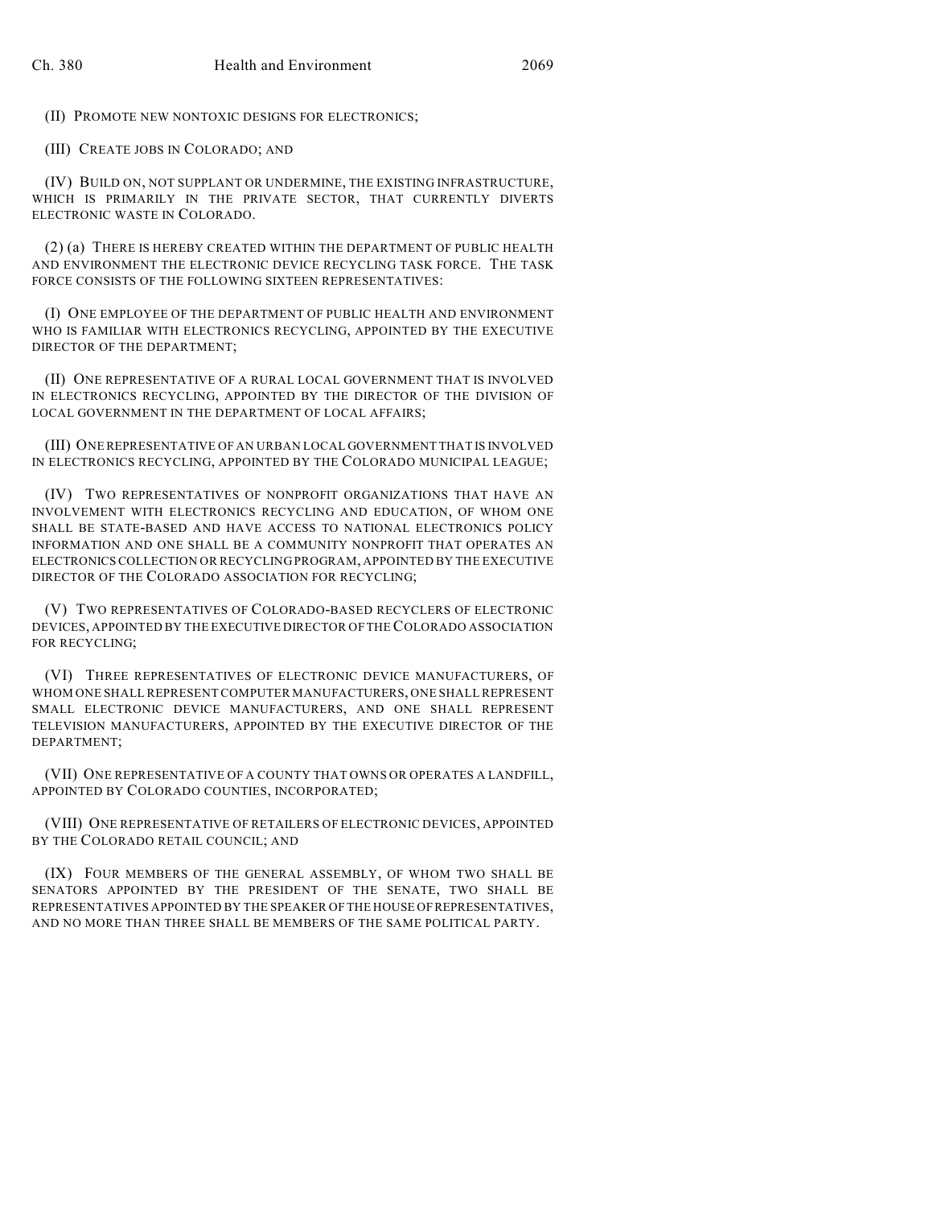(II) PROMOTE NEW NONTOXIC DESIGNS FOR ELECTRONICS;

(III) CREATE JOBS IN COLORADO; AND

(IV) BUILD ON, NOT SUPPLANT OR UNDERMINE, THE EXISTING INFRASTRUCTURE, WHICH IS PRIMARILY IN THE PRIVATE SECTOR, THAT CURRENTLY DIVERTS ELECTRONIC WASTE IN COLORADO.

(2) (a) THERE IS HEREBY CREATED WITHIN THE DEPARTMENT OF PUBLIC HEALTH AND ENVIRONMENT THE ELECTRONIC DEVICE RECYCLING TASK FORCE. THE TASK FORCE CONSISTS OF THE FOLLOWING SIXTEEN REPRESENTATIVES:

(I) ONE EMPLOYEE OF THE DEPARTMENT OF PUBLIC HEALTH AND ENVIRONMENT WHO IS FAMILIAR WITH ELECTRONICS RECYCLING, APPOINTED BY THE EXECUTIVE DIRECTOR OF THE DEPARTMENT;

(II) ONE REPRESENTATIVE OF A RURAL LOCAL GOVERNMENT THAT IS INVOLVED IN ELECTRONICS RECYCLING, APPOINTED BY THE DIRECTOR OF THE DIVISION OF LOCAL GOVERNMENT IN THE DEPARTMENT OF LOCAL AFFAIRS;

(III) ONE REPRESENTATIVE OF AN URBAN LOCAL GOVERNMENT THAT IS INVOLVED IN ELECTRONICS RECYCLING, APPOINTED BY THE COLORADO MUNICIPAL LEAGUE;

(IV) TWO REPRESENTATIVES OF NONPROFIT ORGANIZATIONS THAT HAVE AN INVOLVEMENT WITH ELECTRONICS RECYCLING AND EDUCATION, OF WHOM ONE SHALL BE STATE-BASED AND HAVE ACCESS TO NATIONAL ELECTRONICS POLICY INFORMATION AND ONE SHALL BE A COMMUNITY NONPROFIT THAT OPERATES AN ELECTRONICS COLLECTION OR RECYCLING PROGRAM, APPOINTED BY THE EXECUTIVE DIRECTOR OF THE COLORADO ASSOCIATION FOR RECYCLING;

(V) TWO REPRESENTATIVES OF COLORADO-BASED RECYCLERS OF ELECTRONIC DEVICES, APPOINTED BY THE EXECUTIVE DIRECTOR OF THE COLORADO ASSOCIATION FOR RECYCLING;

(VI) THREE REPRESENTATIVES OF ELECTRONIC DEVICE MANUFACTURERS, OF WHOM ONE SHALL REPRESENT COMPUTER MANUFACTURERS, ONE SHALL REPRESENT SMALL ELECTRONIC DEVICE MANUFACTURERS, AND ONE SHALL REPRESENT TELEVISION MANUFACTURERS, APPOINTED BY THE EXECUTIVE DIRECTOR OF THE DEPARTMENT;

(VII) ONE REPRESENTATIVE OF A COUNTY THAT OWNS OR OPERATES A LANDFILL, APPOINTED BY COLORADO COUNTIES, INCORPORATED;

(VIII) ONE REPRESENTATIVE OF RETAILERS OF ELECTRONIC DEVICES, APPOINTED BY THE COLORADO RETAIL COUNCIL; AND

(IX) FOUR MEMBERS OF THE GENERAL ASSEMBLY, OF WHOM TWO SHALL BE SENATORS APPOINTED BY THE PRESIDENT OF THE SENATE, TWO SHALL BE REPRESENTATIVES APPOINTED BY THE SPEAKER OF THE HOUSE OF REPRESENTATIVES, AND NO MORE THAN THREE SHALL BE MEMBERS OF THE SAME POLITICAL PARTY.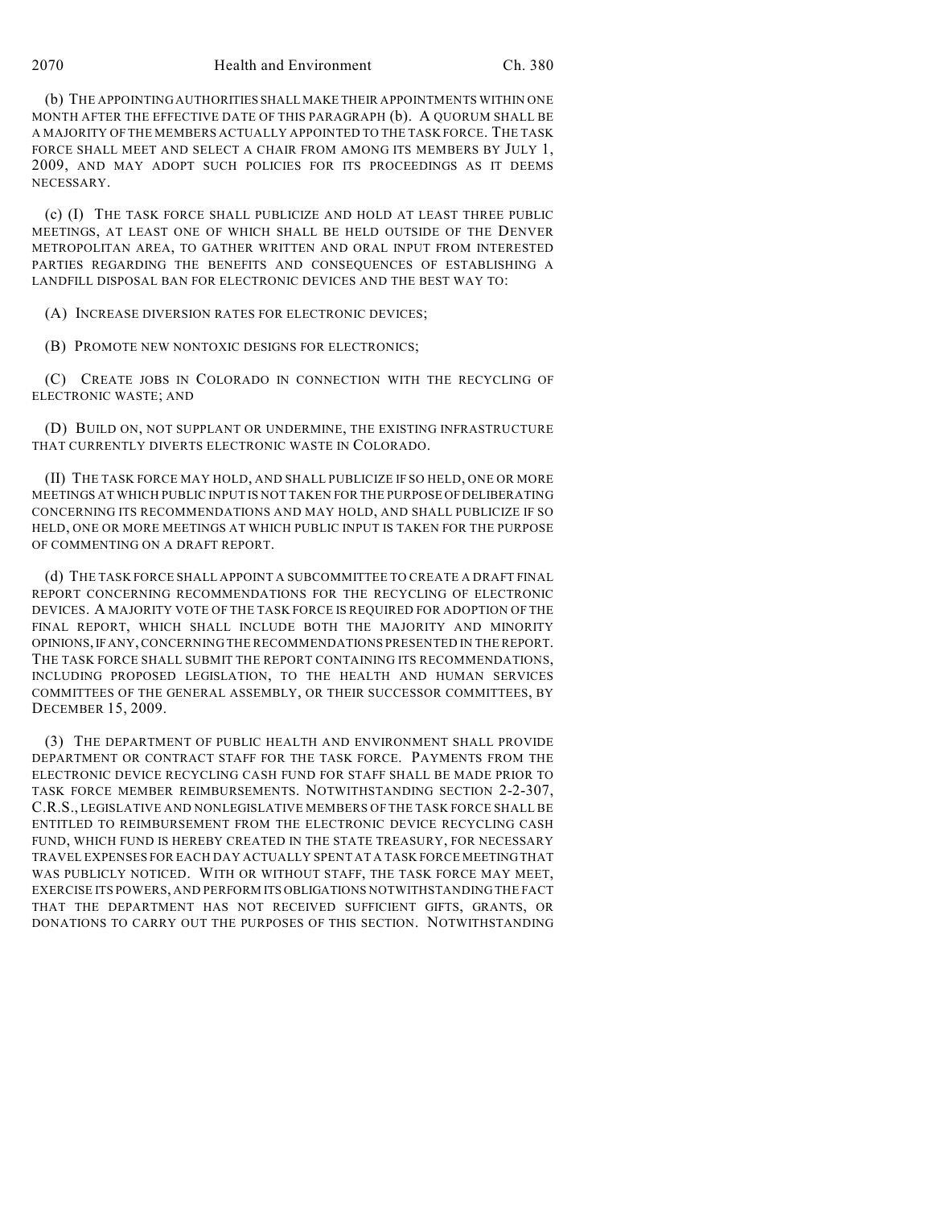(b) THE APPOINTING AUTHORITIES SHALL MAKE THEIR APPOINTMENTS WITHIN ONE MONTH AFTER THE EFFECTIVE DATE OF THIS PARAGRAPH (b). A QUORUM SHALL BE A MAJORITY OF THE MEMBERS ACTUALLY APPOINTED TO THE TASK FORCE. THE TASK FORCE SHALL MEET AND SELECT A CHAIR FROM AMONG ITS MEMBERS BY JULY 1, 2009, AND MAY ADOPT SUCH POLICIES FOR ITS PROCEEDINGS AS IT DEEMS NECESSARY.

(c) (I) THE TASK FORCE SHALL PUBLICIZE AND HOLD AT LEAST THREE PUBLIC MEETINGS, AT LEAST ONE OF WHICH SHALL BE HELD OUTSIDE OF THE DENVER METROPOLITAN AREA, TO GATHER WRITTEN AND ORAL INPUT FROM INTERESTED PARTIES REGARDING THE BENEFITS AND CONSEQUENCES OF ESTABLISHING A LANDFILL DISPOSAL BAN FOR ELECTRONIC DEVICES AND THE BEST WAY TO:

(A) INCREASE DIVERSION RATES FOR ELECTRONIC DEVICES;

(B) PROMOTE NEW NONTOXIC DESIGNS FOR ELECTRONICS;

(C) CREATE JOBS IN COLORADO IN CONNECTION WITH THE RECYCLING OF ELECTRONIC WASTE; AND

(D) BUILD ON, NOT SUPPLANT OR UNDERMINE, THE EXISTING INFRASTRUCTURE THAT CURRENTLY DIVERTS ELECTRONIC WASTE IN COLORADO.

(II) THE TASK FORCE MAY HOLD, AND SHALL PUBLICIZE IF SO HELD, ONE OR MORE MEETINGS AT WHICH PUBLIC INPUT IS NOT TAKEN FOR THE PURPOSE OF DELIBERATING CONCERNING ITS RECOMMENDATIONS AND MAY HOLD, AND SHALL PUBLICIZE IF SO HELD, ONE OR MORE MEETINGS AT WHICH PUBLIC INPUT IS TAKEN FOR THE PURPOSE OF COMMENTING ON A DRAFT REPORT.

(d) THE TASK FORCE SHALL APPOINT A SUBCOMMITTEE TO CREATE A DRAFT FINAL REPORT CONCERNING RECOMMENDATIONS FOR THE RECYCLING OF ELECTRONIC DEVICES. A MAJORITY VOTE OF THE TASK FORCE IS REQUIRED FOR ADOPTION OF THE FINAL REPORT, WHICH SHALL INCLUDE BOTH THE MAJORITY AND MINORITY OPINIONS, IF ANY, CONCERNING THE RECOMMENDATIONS PRESENTED IN THE REPORT. THE TASK FORCE SHALL SUBMIT THE REPORT CONTAINING ITS RECOMMENDATIONS, INCLUDING PROPOSED LEGISLATION, TO THE HEALTH AND HUMAN SERVICES COMMITTEES OF THE GENERAL ASSEMBLY, OR THEIR SUCCESSOR COMMITTEES, BY DECEMBER 15, 2009.

(3) THE DEPARTMENT OF PUBLIC HEALTH AND ENVIRONMENT SHALL PROVIDE DEPARTMENT OR CONTRACT STAFF FOR THE TASK FORCE. PAYMENTS FROM THE ELECTRONIC DEVICE RECYCLING CASH FUND FOR STAFF SHALL BE MADE PRIOR TO TASK FORCE MEMBER REIMBURSEMENTS. NOTWITHSTANDING SECTION 2-2-307, C.R.S., LEGISLATIVE AND NONLEGISLATIVE MEMBERS OF THE TASK FORCE SHALL BE ENTITLED TO REIMBURSEMENT FROM THE ELECTRONIC DEVICE RECYCLING CASH FUND, WHICH FUND IS HEREBY CREATED IN THE STATE TREASURY, FOR NECESSARY TRAVEL EXPENSES FOR EACH DAY ACTUALLY SPENT AT A TASK FORCE MEETING THAT WAS PUBLICLY NOTICED. WITH OR WITHOUT STAFF, THE TASK FORCE MAY MEET, EXERCISE ITS POWERS, AND PERFORM ITS OBLIGATIONS NOTWITHSTANDING THE FACT THAT THE DEPARTMENT HAS NOT RECEIVED SUFFICIENT GIFTS, GRANTS, OR DONATIONS TO CARRY OUT THE PURPOSES OF THIS SECTION. NOTWITHSTANDING